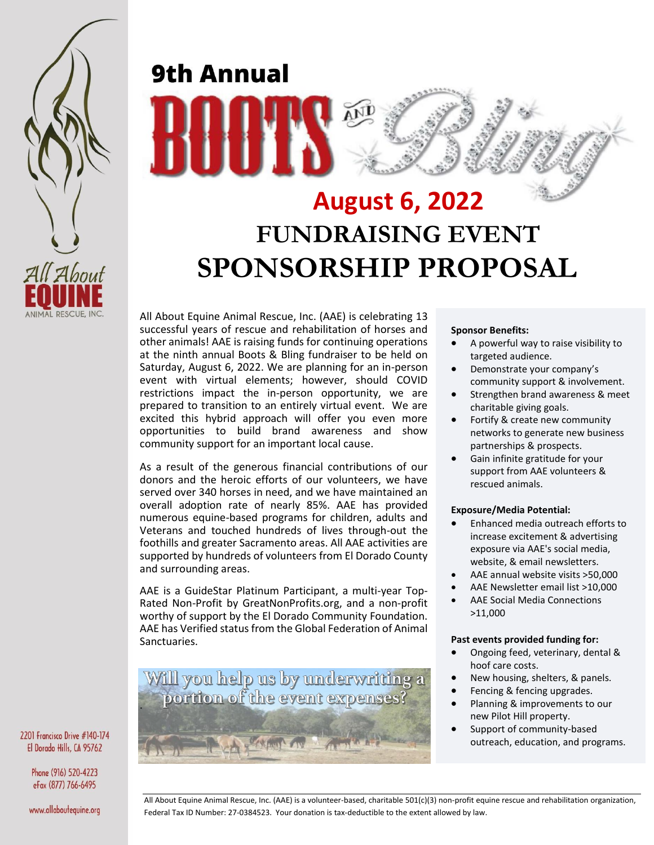

# **9th Annual August 6, 2022**

## **FUNDRAISING EVENT SPONSORSHIP PROPOSAL**

All About Equine Animal Rescue, Inc. (AAE) is celebrating 13 successful years of rescue and rehabilitation of horses and other animals! AAE is raising funds for continuing operations at the ninth annual Boots & Bling fundraiser to be held on Saturday, August 6, 2022. We are planning for an in-person event with virtual elements; however, should COVID restrictions impact the in-person opportunity, we are prepared to transition to an entirely virtual event. We are excited this hybrid approach will offer you even more opportunities to build brand awareness and show community support for an important local cause.

As a result of the generous financial contributions of our donors and the heroic efforts of our volunteers, we have served over 340 horses in need, and we have maintained an overall adoption rate of nearly 85%. AAE has provided numerous equine-based programs for children, adults and Veterans and touched hundreds of lives through-out the foothills and greater Sacramento areas. All AAE activities are supported by hundreds of volunteers from El Dorado County and surrounding areas.

AAE is a GuideStar Platinum Participant, a multi-year Top-Rated Non-Profit by GreatNonProfits.org, and a non-profit worthy of support by the El Dorado Community Foundation. AAE has Verified status from the Global Federation of Animal Sanctuaries.

Will you help us by underwriting a portion of the event expenses? .

#### **Sponsor Benefits:**

- A powerful way to raise visibility to targeted audience.
- Demonstrate your company's community support & involvement.
- Strengthen brand awareness & meet charitable giving goals.
- Fortify & create new community networks to generate new business partnerships & prospects.
- Gain infinite gratitude for your support from AAE volunteers & rescued animals.

#### **Exposure/Media Potential:**

- Enhanced media outreach efforts to increase excitement & advertising exposure via AAE's social media, website, & email newsletters.
- AAE annual website visits >50,000
- AAE Newsletter email list >10,000
- AAE Social Media Connections >11,000

#### **Past events provided funding for:**

- Ongoing feed, veterinary, dental & hoof care costs.
- New housing, shelters, & panels.
- Fencing & fencing upgrades.
- Planning & improvements to our new Pilot Hill property.
- Support of community-based outreach, education, and programs.

2201 Francisco Drive #140-174 El Dorado Hills, CA 95762

> Phone (916) 520-4223 eFax (877) 766-6495

www.allaboutequine.org

All About Equine Animal Rescue, Inc. (AAE) is a volunteer-based, charitable 501(c)(3) non-profit equine rescue and rehabilitation organization, rate.Federal Tax ID Number: 27-0384523. Your donation is tax-deductible to the extent allowed by law.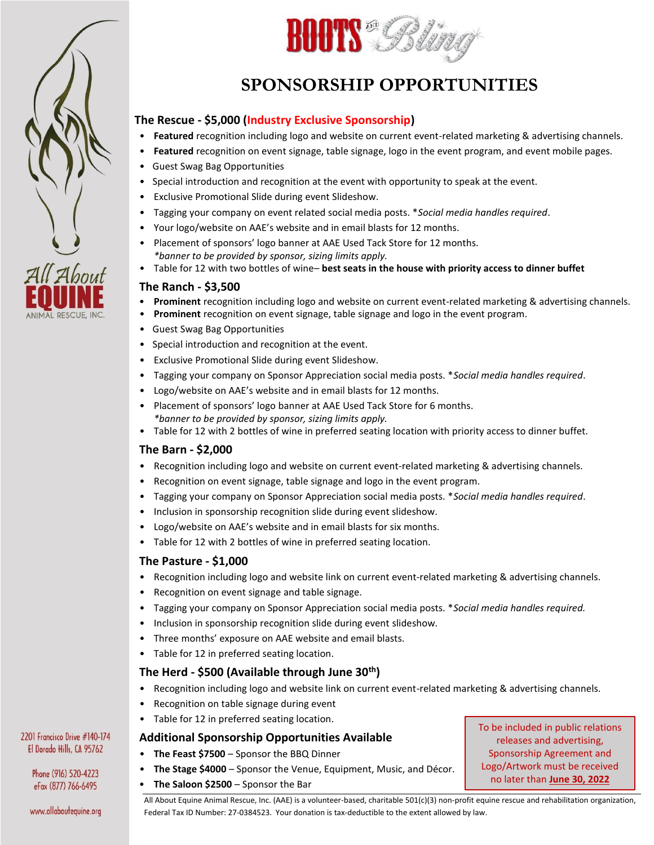



### **SPONSORSHIP OPPORTUNITIES**

#### **The Rescue - \$5,000 (Industry Exclusive Sponsorship)**

- **Featured** recognition including logo and website on current event-related marketing & advertising channels.
- **Featured** recognition on event signage, table signage, logo in the event program, and event mobile pages.
- Guest Swag Bag Opportunities
- Special introduction and recognition at the event with opportunity to speak at the event.
- Exclusive Promotional Slide during event Slideshow.
- Tagging your company on event related social media posts. \**Social media handles required*.
- Your logo/website on AAE's website and in email blasts for 12 months.
- Placement of sponsors' logo banner at AAE Used Tack Store for 12 months. *\*banner to be provided by sponsor, sizing limits apply.*
- Table for 12 with two bottles of wine– **best seats in the house with priority access to dinner buffet**

#### **The Ranch - \$3,500**

- **Prominent** recognition including logo and website on current event-related marketing & advertising channels.
- **Prominent** recognition on event signage, table signage and logo in the event program.
- Guest Swag Bag Opportunities
- Special introduction and recognition at the event.
- Exclusive Promotional Slide during event Slideshow.
- Tagging your company on Sponsor Appreciation social media posts. \**Social media handles required*.
- Logo/website on AAE's website and in email blasts for 12 months.
- Placement of sponsors' logo banner at AAE Used Tack Store for 6 months. *\*banner to be provided by sponsor, sizing limits apply.*
- Table for 12 with 2 bottles of wine in preferred seating location with priority access to dinner buffet.

#### **The Barn - \$2,000**

- Recognition including logo and website on current event-related marketing & advertising channels.
- Recognition on event signage, table signage and logo in the event program.
- Tagging your company on Sponsor Appreciation social media posts. \**Social media handles required*.
- Inclusion in sponsorship recognition slide during event slideshow.
- Logo/website on AAE's website and in email blasts for six months.
- Table for 12 with 2 bottles of wine in preferred seating location.

#### **The Pasture - \$1,000**

- Recognition including logo and website link on current event-related marketing & advertising channels.
- Recognition on event signage and table signage.
- Tagging your company on Sponsor Appreciation social media posts. \**Social media handles required.*
- Inclusion in sponsorship recognition slide during event slideshow.
- Three months' exposure on AAE website and email blasts.
- Table for 12 in preferred seating location.

#### **The Herd - \$500 (Available through June 30th)**

- Recognition including logo and website link on current event-related marketing & advertising channels.
- Recognition on table signage during event
- Table for 12 in preferred seating location.

#### **Additional Sponsorship Opportunities Available**

- **The Feast \$7500** Sponsor the BBQ Dinner
- **The Stage \$4000** Sponsor the Venue, Equipment, Music, and Décor.
- **The Saloon \$2500** Sponsor the Bar

To be included in public relations releases and advertising, Sponsorship Agreement and Logo/Artwork must be received no later than **June 30, 2022**

El Dorado Hills, CA 95762 Phone (916) 520-4223

2201 Francisco Drive #140-174

eFax (877) 766-6495 www.allaboutequine.org

All About Equine Animal Rescue, Inc. (AAE) is a volunteer-based, charitable 501(c)(3) non-profit equine rescue and rehabilitation organization, Federal Tax ID Number: 27-0384523. Your donation is tax-deductible to the extent allowed by law.